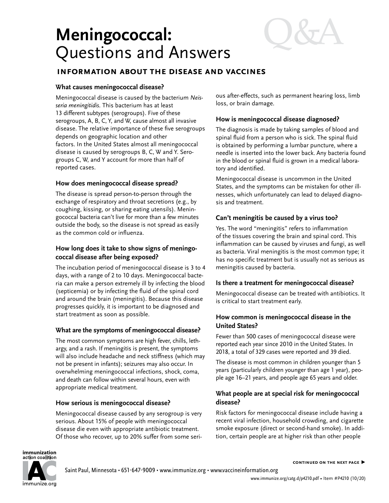# **Meningococcal:** Questions and Answers

# **information about the disease and vaccines**

### **What causes meningococcal disease?**

Meningococcal disease is caused by the bacterium *Neisseria meningitidis.* This bacterium has at least 13 different subtypes (serogroups). Five of these serogroups, A, B, C, Y, and W, cause almost all invasive disease. The relative importance of these five serogroups depends on geographic location and other factors. In the United States almost all meningococcal disease is caused by serogroups B, C, W and Y. Serogroups C, W, and Y account for more than half of reported cases.

# **How does meningococcal disease spread?**

The disease is spread person-to-person through the exchange of respiratory and throat secretions (e.g., by coughing, kissing, or sharing eating utensils). Meningococcal bacteria can't live for more than a few minutes outside the body, so the disease is not spread as easily as the common cold or influenza.

# **How long does it take to show signs of meningococcal disease after being exposed?**

The incubation period of meningococcal disease is 3 to 4 days, with a range of 2 to 10 days. Meningococcal bacteria can make a person extremely ill by infecting the blood (septicemia) or by infecting the fluid of the spinal cord and around the brain (meningitis). Because this disease progresses quickly, it is important to be diagnosed and start treatment as soon as possible.

# **What are the symptoms of meningococcal disease?**

The most common symptoms are high fever, chills, lethargy, and a rash. If meningitis is present, the symptoms will also include headache and neck stiffness (which may not be present in infants); seizures may also occur. In overwhelming meningococcal infections, shock, coma, and death can follow within several hours, even with appropriate medical treatment.

### **How serious is meningococcal disease?**

Meningococcal disease caused by any serogroup is very serious. About 15% of people with meningococcal disease die even with appropriate antibiotic treatment. Of those who recover, up to 20% suffer from some serious after-effects, such as permanent hearing loss, limb loss, or brain damage.

# **How is meningococcal disease diagnosed?**

The diagnosis is made by taking samples of blood and spinal fluid from a person who is sick. The spinal fluid is obtained by performing a lumbar puncture, where a needle is inserted into the lower back. Any bacteria found in the blood or spinal fluid is grown in a medical laboratory and identified.

Meningococcal disease is uncommon in the United States, and the symptoms can be mistaken for other illnesses, which unfortunately can lead to delayed diagnosis and treatment.

# **Can't meningitis be caused by a virus too?**

Yes. The word "meningitis" refers to inflammation of the tissues covering the brain and spinal cord. This inflammation can be caused by viruses and fungi, as well as bacteria. Viral meningitis is the most common type; it has no specific treatment but is usually not as serious as meningitis caused by bacteria.

### **Is there a treatment for meningococcal disease?**

Meningococcal disease can be treated with antibiotics. It is critical to start treatment early.

# **How common is meningococcal disease in the United States?**

Fewer than 500 cases of meningococcal disease were reported each year since 2010 in the United States. In 2018, a total of 329 cases were reported and 39 died.

The disease is most common in children younger than 5 years (particularly children younger than age 1 year), people age 16–21 years, and people age 65 years and older.

# **What people are at special risk for meningococcal disease?**

Risk factors for meningococcal disease include having a recent viral infection, household crowding, and cigarette smoke exposure (direct or second-hand smoke). In addition, certain people are at higher risk than other people

immunization action coalition



Saint Paul, Minnesota • 651-647-9009 • [www.immunize.org](http://www.immunize.org) • [www.vaccineinformation.org](http://www.vaccineinformation.org)

**continued on the next page ▶**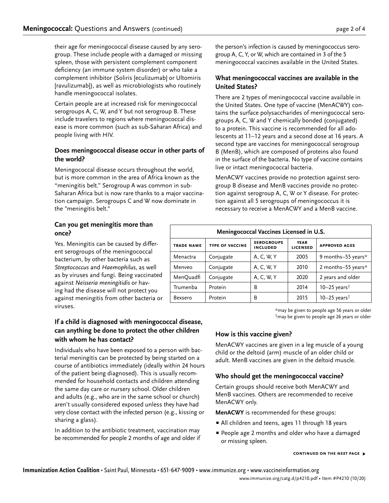the person's infection is caused by meningococcus serogroup A, C, Y, or W, which are contained in 3 of the 5

### group. These include people with a damaged or missing spleen, those with persistent complement component deficiency (an immune system disorder) or who take a complement inhibitor (Soliris [eculizumab] or Ultomiris [ravulizumab]), as well as microbiologists who routinely handle meningococcal isolates. meningococcal vaccines available in the United States.

Certain people are at increased risk for meningococcal serogroups A, C, W, and Y but not serogroup B. These include travelers to regions where meningococcal disease is more common (such as sub-Saharan Africa) and people living with HIV.

their age for meningococcal disease caused by any sero-

# **Does meningococcal disease occur in other parts of the world?**

Meningococcal disease occurs throughout the world, but is more common in the area of Africa known as the "meningitis belt." Serogroup A was common in sub-Saharan Africa but is now rare thanks to a major vaccination campaign. Serogroups C and W now dominate in the "meningitis belt."

# **Can you get meningitis more than once?**

Yes. Meningitis can be caused by different serogroups of the meningococcal bacterium, by other bacteria such as *Streptococcus* and *Haemophilus*, as well as by viruses and fungi. Being vaccinated against *Neisseria meningitidis* or having had the disease will not protect you against meningitis from other bacteria or viruses.

# **If a child is diagnosed with meningococcal disease, can anything be done to protect the other children with whom he has contact?**

Individuals who have been exposed to a person with bacterial meningitis can be protected by being started on a course of antibiotics immediately (ideally within 24 hours of the patient being diagnosed). This is usually recommended for household contacts and children attending the same day care or nursery school. Older children and adults (e.g., who are in the same school or church) aren't usually considered exposed unless they have had very close contact with the infected person (e.g., kissing or sharing a glass).

In addition to the antibiotic treatment, vaccination may be recommended for people 2 months of age and older if

# **What meningococcal vaccines are available in the United States?**

There are 2 types of meningococcal vaccine available in the United States. One type of vaccine (MenACWY) contains the surface polysaccharides of meningococcal serogroups A, C, W and Y chemically bonded (conjugated) to a protein. This vaccine is recommended for all adolescents at 11–12 years and a second dose at 16 years. A second type are vaccines for meningococcal serogroup B (MenB), which are composed of proteins also found in the surface of the bacteria. No type of vaccine contains live or intact meningococcal bacteria.

MenACWY vaccines provide no protection against serogroup B disease and MenB vaccines provide no protection against serogroup A, C, W or Y disease. For protection against all 5 serogroups of meningococcus it is necessary to receive a MenACWY and a MenB vaccine.

| Meningococcal Vaccines Licensed in U.S. |                        |                                      |                                |                            |
|-----------------------------------------|------------------------|--------------------------------------|--------------------------------|----------------------------|
| <b>TRADE NAME</b>                       | <b>TYPE OF VACCINE</b> | <b>SEROGROUPS</b><br><b>INCLUDED</b> | <b>YEAR</b><br><b>LICENSED</b> | <b>APPROVED AGES</b>       |
| Menactra                                | Conjugate              | A, C, W, Y                           | 2005                           | 9 months-55 years*         |
| Menveo                                  | Conjugate              | A, C, W, Y                           | 2010                           | 2 months-55 years*         |
| MenQuadfi                               | Conjugate              | A, C, W, Y                           | 2020                           | 2 years and older          |
| Trumenba                                | Protein                | B                                    | 2014                           | $10-25$ years <sup>†</sup> |
| Bexsero                                 | Protein                | B                                    | 2015                           | $10-25$ years <sup>†</sup> |

\*may be given to people age 56 years or older †may be given to people age 26 years or older

# **How is this vaccine given?**

MenACWY vaccines are given in a leg muscle of a young child or the deltoid (arm) muscle of an older child or adult. MenB vaccines are given in the deltoid muscle.

# **Who should get the meningococcal vaccine?**

Certain groups should receive both MenACWY and MenB vaccines. Others are recommended to receive MenACWY only.

**MenACWY** is recommended for these groups:

- All children and teens, ages 11 through 18 years
- **People age 2 months and older who have a damaged** or missing spleen.

### **continued on the next page ▶**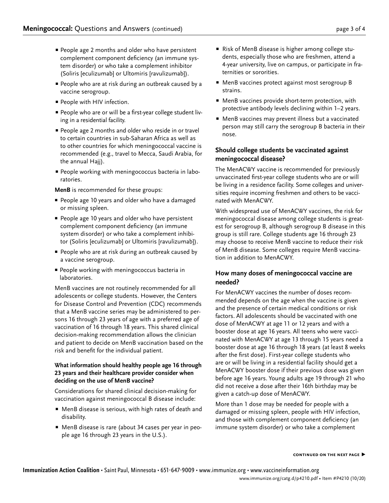- **People age 2 months and older who have persistent** complement component deficiency (an immune system disorder) or who take a complement inhibitor (Soliris [eculizumab] or Ultomiris [ravulizumab]).
- **People who are at risk during an outbreak caused by a** vaccine serogroup.
- **People with HIV infection.**
- People who are or will be a first-year college student living in a residential facility.
- People age 2 months and older who reside in or travel to certain countries in sub-Saharan Africa as well as to other countries for which meningococcal vaccine is recommended (e.g., travel to Mecca, Saudi Arabia, for the annual Hajj).
- **People working with meningococcus bacteria in labo**ratories.

**MenB** is recommended for these groups:

- **People age 10 years and older who have a damaged** or missing spleen.
- **People age 10 years and older who have persistent** complement component deficiency (an immune system disorder) or who take a complement inhibitor (Soliris [eculizumab] or Ultomiris [ravulizumab]).
- **People who are at risk during an outbreak caused by** a vaccine serogroup.
- **People working with meningococcus bacteria in** laboratories.

MenB vaccines are not routinely recommended for all adolescents or college students. However, the Centers for Disease Control and Prevention (CDC) recommends that a MenB vaccine series may be administered to persons 16 through 23 years of age with a preferred age of vaccination of 16 through 18 years. This shared clinical decision-making recommendation allows the clinician and patient to decide on MenB vaccination based on the risk and benefit for the individual patient.

### **What information should healthy people age 16 through 23 years and their healthcare provider consider when deciding on the use of MenB vaccine?**

Considerations for shared clinical decision-making for vaccination against meningococcal B disease include:

- P MenB disease is serious, with high rates of death and disability.
- MenB disease is rare (about 34 cases per year in people age 16 through 23 years in the U.S.).
- Risk of MenB disease is higher among college students, especially those who are freshmen, attend a 4-year university, live on campus, or participate in fraternities or sororities.
- MenB vaccines protect against most serogroup B strains.
- **P** MenB vaccines provide short-term protection, with protective antibody levels declining within 1–2 years.
- P MenB vaccines may prevent illness but a vaccinated person may still carry the serogroup B bacteria in their nose.

# **Should college students be vaccinated against meningococcal disease?**

The MenACWY vaccine is recommended for previously unvaccinated first-year college students who are or will be living in a residence facility. Some colleges and universities require incoming freshmen and others to be vaccinated with MenACWY.

With widespread use of MenACWY vaccines, the risk for meningococcal disease among college students is greatest for serogroup B, although serogroup B disease in this group is still rare. College students age 16 through 23 may choose to receive MenB vaccine to reduce their risk of MenB disease. Some colleges require MenB vaccination in addition to MenACWY.

# **How many doses of meningococcal vaccine are needed?**

For MenACWY vaccines the number of doses recommended depends on the age when the vaccine is given and the presence of certain medical conditions or risk factors. All adolescents should be vaccinated with one dose of MenACWY at age 11 or 12 years and with a booster dose at age 16 years. All teens who were vaccinated with MenACWY at age 13 through 15 years need a booster dose at age 16 through 18 years (at least 8 weeks after the first dose). First-year college students who are or will be living in a residential facility should get a MenACWY booster dose if their previous dose was given before age 16 years. Young adults age 19 through 21 who did not receive a dose after their 16th birthday may be given a catch-up dose of MenACWY.

More than 1 dose may be needed for people with a damaged or missing spleen, people with HIV infection, and those with complement component deficiency (an immune system disorder) or who take a complement

### **continued on the next page ▶**